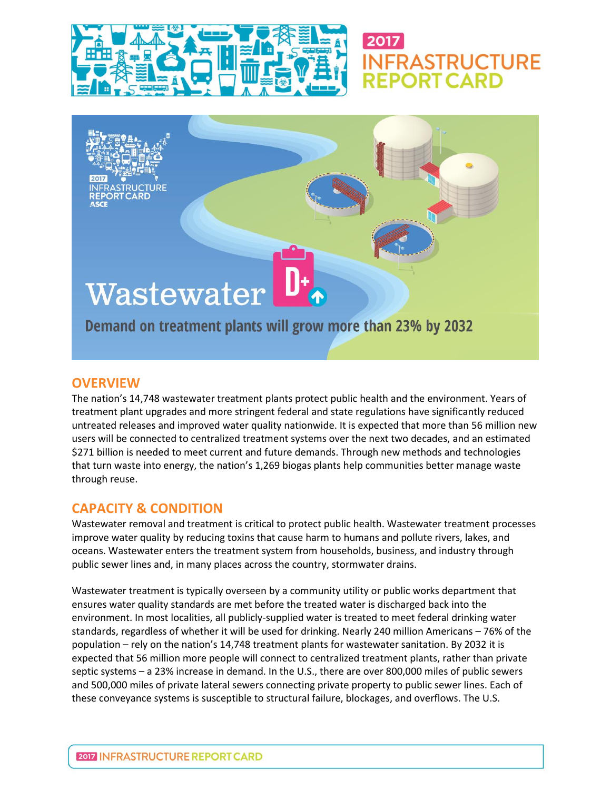

## 2017 **INFRASTRUCTURE**

# Wastewater

Demand on treatment plants will grow more than 23% by 2032

### **OVERVIEW**

The nation's 14,748 wastewater treatment plants protect public health and the environment. Years of treatment plant upgrades and more stringent federal and state regulations have significantly reduced untreated releases and improved water quality nationwide. It is expected that more than 56 million new users will be connected to centralized treatment systems over the next two decades, and an estimated \$271 billion is needed to meet current and future demands. Through new methods and technologies that turn waste into energy, the nation's 1,269 biogas plants help communities better manage waste through reuse.

### **CAPACITY & CONDITION**

Wastewater removal and treatment is critical to protect public health. Wastewater treatment processes improve water quality by reducing toxins that cause harm to humans and pollute rivers, lakes, and oceans. Wastewater enters the treatment system from households, business, and industry through public sewer lines and, in many places across the country, stormwater drains.

Wastewater treatment is typically overseen by a community utility or public works department that ensures water quality standards are met before the treated water is discharged back into the environment. In most localities, all publicly-supplied water is treated to meet federal drinking water standards, regardless of whether it will be used for drinking. Nearly 240 million Americans – 76% of the population – rely on the nation's 14,748 treatment plants for wastewater sanitation. By 2032 it is expected that 56 million more people will connect to centralized treatment plants, rather than private septic systems – a 23% increase in demand. In the U.S., there are over 800,000 miles of public sewers and 500,000 miles of private lateral sewers connecting private property to public sewer lines. Each of these conveyance systems is susceptible to structural failure, blockages, and overflows. The U.S.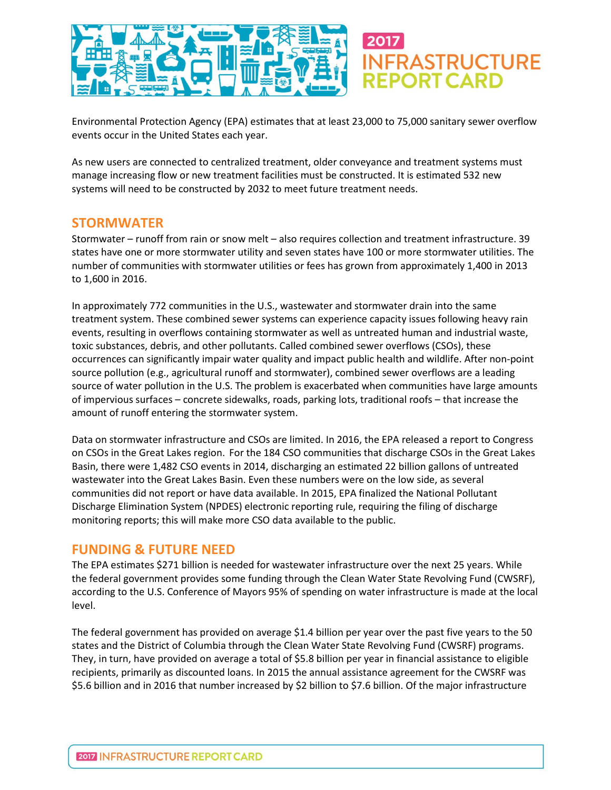

Environmental Protection Agency (EPA) estimates that at least 23,000 to 75,000 sanitary sewer overflow events occur in the United States each year.

As new users are connected to centralized treatment, older conveyance and treatment systems must manage increasing flow or new treatment facilities must be constructed. It is estimated 532 new systems will need to be constructed by 2032 to meet future treatment needs.

#### **STORMWATER**

Stormwater – runoff from rain or snow melt – also requires collection and treatment infrastructure. 39 states have one or more stormwater utility and seven states have 100 or more stormwater utilities. The number of communities with stormwater utilities or fees has grown from approximately 1,400 in 2013 to 1,600 in 2016.

In approximately 772 communities in the U.S., wastewater and stormwater drain into the same treatment system. These combined sewer systems can experience capacity issues following heavy rain events, resulting in overflows containing stormwater as well as untreated human and industrial waste, toxic substances, debris, and other pollutants. Called combined sewer overflows (CSOs), these occurrences can significantly impair water quality and impact public health and wildlife. After non-point source pollution (e.g., agricultural runoff and stormwater), combined sewer overflows are a leading source of water pollution in the U.S. The problem is exacerbated when communities have large amounts of impervious surfaces – concrete sidewalks, roads, parking lots, traditional roofs – that increase the amount of runoff entering the stormwater system.

Data on stormwater infrastructure and CSOs are limited. In 2016, the EPA released a report to Congress on CSOs in the Great Lakes region. For the 184 CSO communities that discharge CSOs in the Great Lakes Basin, there were 1,482 CSO events in 2014, discharging an estimated 22 billion gallons of untreated wastewater into the Great Lakes Basin. Even these numbers were on the low side, as several communities did not report or have data available. In 2015, EPA finalized the National Pollutant Discharge Elimination System (NPDES) electronic reporting rule, requiring the filing of discharge monitoring reports; this will make more CSO data available to the public.

### **FUNDING & FUTURE NEED**

The EPA estimates \$271 billion is needed for wastewater infrastructure over the next 25 years. While the federal government provides some funding through the Clean Water State Revolving Fund (CWSRF), according to the U.S. Conference of Mayors 95% of spending on water infrastructure is made at the local level.

The federal government has provided on average \$1.4 billion per year over the past five years to the 50 states and the District of Columbia through the Clean Water State Revolving Fund (CWSRF) programs. They, in turn, have provided on average a total of \$5.8 billion per year in financial assistance to eligible recipients, primarily as discounted loans. In 2015 the annual assistance agreement for the CWSRF was \$5.6 billion and in 2016 that number increased by \$2 billion to \$7.6 billion. Of the major infrastructure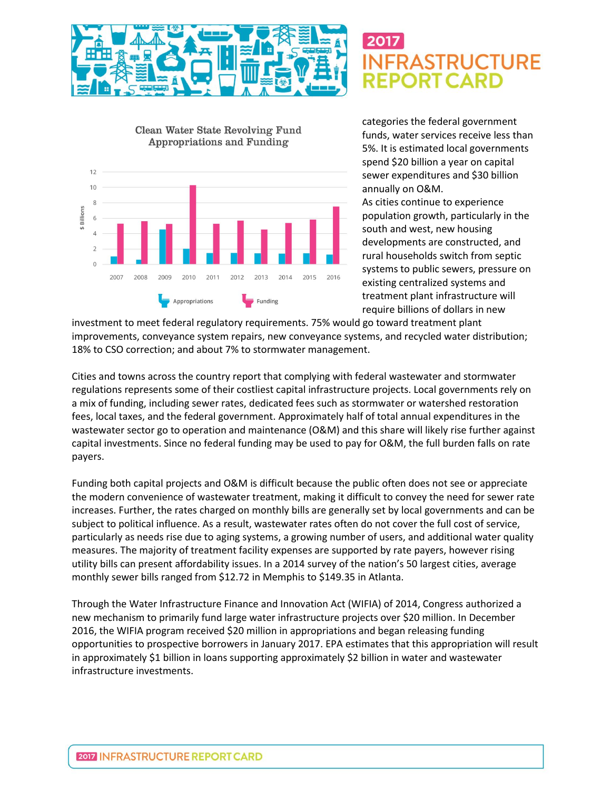

### 2017 **FRASTRUCTURE**



categories the federal government funds, water services receive less than 5%. It is estimated local governments spend \$20 billion a year on capital sewer expenditures and \$30 billion annually on O&M.

As cities continue to experience population growth, particularly in the south and west, new housing developments are constructed, and rural households switch from septic systems to public sewers, pressure on existing centralized systems and treatment plant infrastructure will require billions of dollars in new

investment to meet federal regulatory requirements. 75% would go toward treatment plant improvements, conveyance system repairs, new conveyance systems, and recycled water distribution; 18% to CSO correction; and about 7% to stormwater management.

Cities and towns across the country report that complying with federal wastewater and stormwater regulations represents some of their costliest capital infrastructure projects. Local governments rely on a mix of funding, including sewer rates, dedicated fees such as stormwater or watershed restoration fees, local taxes, and the federal government. Approximately half of total annual expenditures in the wastewater sector go to operation and maintenance (O&M) and this share will likely rise further against capital investments. Since no federal funding may be used to pay for O&M, the full burden falls on rate payers.

Funding both capital projects and O&M is difficult because the public often does not see or appreciate the modern convenience of wastewater treatment, making it difficult to convey the need for sewer rate increases. Further, the rates charged on monthly bills are generally set by local governments and can be subject to political influence. As a result, wastewater rates often do not cover the full cost of service, particularly as needs rise due to aging systems, a growing number of users, and additional water quality measures. The majority of treatment facility expenses are supported by rate payers, however rising utility bills can present affordability issues. In a 2014 survey of the nation's 50 largest cities, average monthly sewer bills ranged from \$12.72 in Memphis to \$149.35 in Atlanta.

Through the Water Infrastructure Finance and Innovation Act (WIFIA) of 2014, Congress authorized a new mechanism to primarily fund large water infrastructure projects over \$20 million. In December 2016, the WIFIA program received \$20 million in appropriations and began releasing funding opportunities to prospective borrowers in January 2017. EPA estimates that this appropriation will result in approximately \$1 billion in loans supporting approximately \$2 billion in water and wastewater infrastructure investments.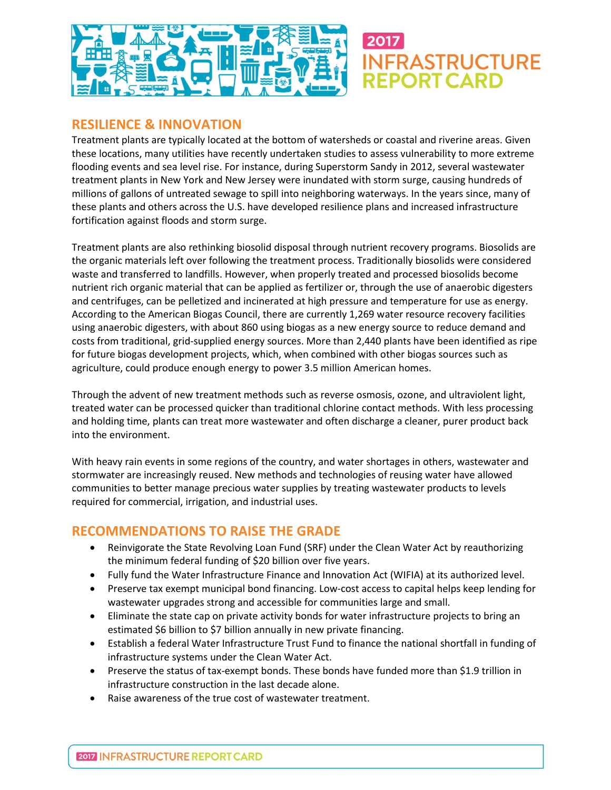

### **RESILIENCE & INNOVATION**

Treatment plants are typically located at the bottom of watersheds or coastal and riverine areas. Given these locations, many utilities have recently undertaken studies to assess vulnerability to more extreme flooding events and sea level rise. For instance, during Superstorm Sandy in 2012, several wastewater treatment plants in New York and New Jersey were inundated with storm surge, causing hundreds of millions of gallons of untreated sewage to spill into neighboring waterways. In the years since, many of these plants and others across the U.S. have developed resilience plans and increased infrastructure fortification against floods and storm surge.

**IFRASTRUCTURE** 

Treatment plants are also rethinking biosolid disposal through nutrient recovery programs. Biosolids are the organic materials left over following the treatment process. Traditionally biosolids were considered waste and transferred to landfills. However, when properly treated and processed biosolids become nutrient rich organic material that can be applied as fertilizer or, through the use of anaerobic digesters and centrifuges, can be pelletized and incinerated at high pressure and temperature for use as energy. According to the American Biogas Council, there are currently 1,269 water resource recovery facilities using anaerobic digesters, with about 860 using biogas as a new energy source to reduce demand and costs from traditional, grid-supplied energy sources. More than 2,440 plants have been identified as ripe for future biogas development projects, which, when combined with other biogas sources such as agriculture, could produce enough energy to power 3.5 million American homes.

Through the advent of new treatment methods such as reverse osmosis, ozone, and ultraviolent light, treated water can be processed quicker than traditional chlorine contact methods. With less processing and holding time, plants can treat more wastewater and often discharge a cleaner, purer product back into the environment.

With heavy rain events in some regions of the country, and water shortages in others, wastewater and stormwater are increasingly reused. New methods and technologies of reusing water have allowed communities to better manage precious water supplies by treating wastewater products to levels required for commercial, irrigation, and industrial uses.

### **RECOMMENDATIONS TO RAISE THE GRADE**

- Reinvigorate the State Revolving Loan Fund (SRF) under the Clean Water Act by reauthorizing the minimum federal funding of \$20 billion over five years.
- Fully fund the Water Infrastructure Finance and Innovation Act (WIFIA) at its authorized level.
- Preserve tax exempt municipal bond financing. Low-cost access to capital helps keep lending for wastewater upgrades strong and accessible for communities large and small.
- Eliminate the state cap on private activity bonds for water infrastructure projects to bring an estimated \$6 billion to \$7 billion annually in new private financing.
- Establish a federal Water Infrastructure Trust Fund to finance the national shortfall in funding of infrastructure systems under the Clean Water Act.
- Preserve the status of tax-exempt bonds. These bonds have funded more than \$1.9 trillion in infrastructure construction in the last decade alone.
- Raise awareness of the true cost of wastewater treatment.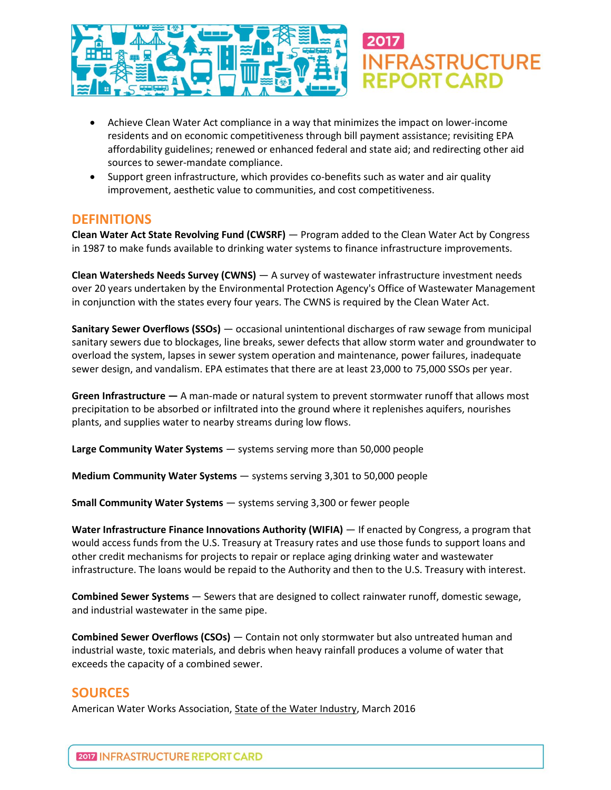

- Achieve Clean Water Act compliance in a way that minimizes the impact on lower-income residents and on economic competitiveness through bill payment assistance; revisiting EPA affordability guidelines; renewed or enhanced federal and state aid; and redirecting other aid sources to sewer-mandate compliance.
- Support green infrastructure, which provides co-benefits such as water and air quality improvement, aesthetic value to communities, and cost competitiveness.

#### **DEFINITIONS**

**Clean Water Act State Revolving Fund (CWSRF)** — Program added to the Clean Water Act by Congress in 1987 to make funds available to drinking water systems to finance infrastructure improvements.

**Clean Watersheds Needs Survey (CWNS)** — A survey of wastewater infrastructure investment needs over 20 years undertaken by the Environmental Protection Agency's Office of Wastewater Management in conjunction with the states every four years. The CWNS is required by the Clean Water Act.

**Sanitary Sewer Overflows (SSOs)** — occasional unintentional discharges of raw sewage from municipal sanitary sewers due to blockages, line breaks, sewer defects that allow storm water and groundwater to overload the system, lapses in sewer system operation and maintenance, power failures, inadequate sewer design, and vandalism. EPA estimates that there are at least 23,000 to 75,000 SSOs per year.

**Green Infrastructure —** A man-made or natural system to prevent stormwater runoff that allows most precipitation to be absorbed or infiltrated into the ground where it replenishes aquifers, nourishes plants, and supplies water to nearby streams during low flows.

**Large Community Water Systems** — systems serving more than 50,000 people

**Medium Community Water Systems** — systems serving 3,301 to 50,000 people

**Small Community Water Systems** — systems serving 3,300 or fewer people

**Water Infrastructure Finance Innovations Authority (WIFIA)** — If enacted by Congress, a program that would access funds from the U.S. Treasury at Treasury rates and use those funds to support loans and other credit mechanisms for projects to repair or replace aging drinking water and wastewater infrastructure. The loans would be repaid to the Authority and then to the U.S. Treasury with interest.

**Combined Sewer Systems** — Sewers that are designed to collect rainwater runoff, domestic sewage, and industrial wastewater in the same pipe.

**Combined Sewer Overflows (CSOs)** — Contain not only stormwater but also untreated human and industrial waste, toxic materials, and debris when heavy rainfall produces a volume of water that exceeds the capacity of a combined sewer.

### **SOURCES**

American Water Works Association, State of the Water Industry, March 2016